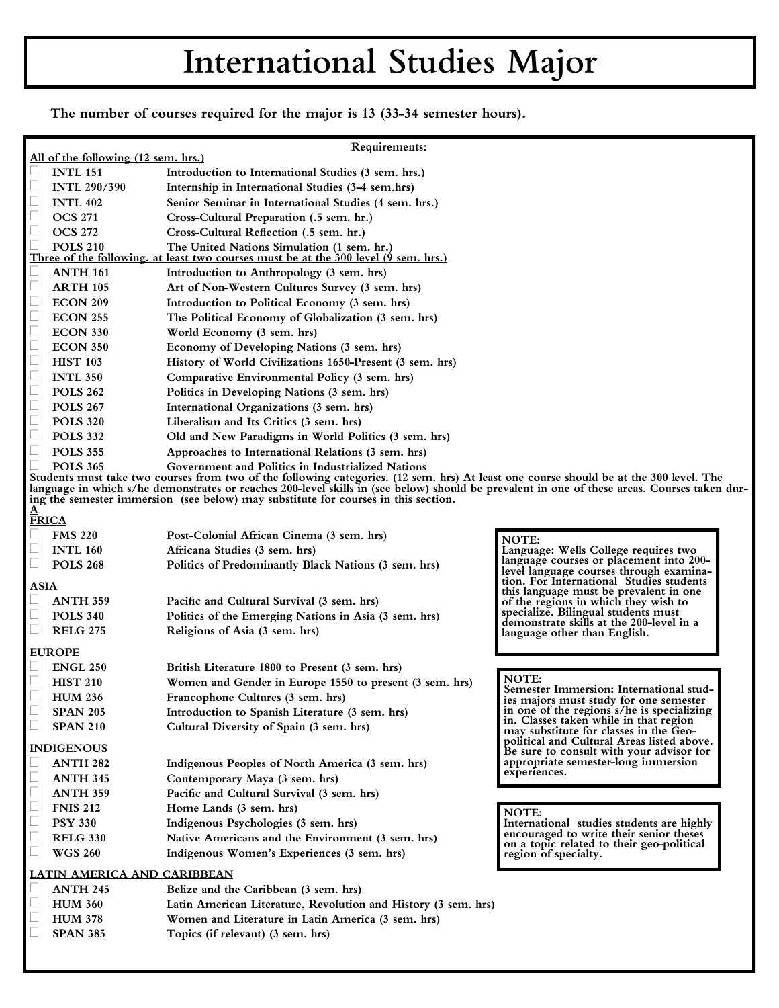## International Studies Major

The number of courses required for the major is 13 (33-34 semester hours).

| Requirements:                                                                                                                                                                                                                                                                                                                                                                |                                                                 |                                                                                                                                   |                                                                                     |
|------------------------------------------------------------------------------------------------------------------------------------------------------------------------------------------------------------------------------------------------------------------------------------------------------------------------------------------------------------------------------|-----------------------------------------------------------------|-----------------------------------------------------------------------------------------------------------------------------------|-------------------------------------------------------------------------------------|
| All of the following (12 sem. hrs.)                                                                                                                                                                                                                                                                                                                                          |                                                                 |                                                                                                                                   |                                                                                     |
|                                                                                                                                                                                                                                                                                                                                                                              | <b>INTL 151</b>                                                 | Introduction to International Studies (3 sem. hrs.)                                                                               |                                                                                     |
|                                                                                                                                                                                                                                                                                                                                                                              | <b>INTL 290/390</b>                                             | Internship in International Studies (3-4 sem.hrs)                                                                                 |                                                                                     |
|                                                                                                                                                                                                                                                                                                                                                                              | <b>INTL 402</b>                                                 | Senior Seminar in International Studies (4 sem. hrs.)                                                                             |                                                                                     |
| u                                                                                                                                                                                                                                                                                                                                                                            | <b>OCS 271</b>                                                  | Cross-Cultural Preparation (.5 sem. hr.)                                                                                          |                                                                                     |
| $\Box$                                                                                                                                                                                                                                                                                                                                                                       | <b>OCS 272</b>                                                  | Cross-Cultural Reflection (.5 sem. hr.)                                                                                           |                                                                                     |
|                                                                                                                                                                                                                                                                                                                                                                              | <b>POLS 210</b>                                                 | The United Nations Simulation (1 sem. hr.)<br>Three of the following, at least two courses must be at the 300 level (9 sem. hrs.) |                                                                                     |
|                                                                                                                                                                                                                                                                                                                                                                              | <b>ANTH 161</b>                                                 | Introduction to Anthropology (3 sem. hrs)                                                                                         |                                                                                     |
| L                                                                                                                                                                                                                                                                                                                                                                            | <b>ARTH 105</b>                                                 | Art of Non-Western Cultures Survey (3 sem. hrs)                                                                                   |                                                                                     |
| $\Box$                                                                                                                                                                                                                                                                                                                                                                       | <b>ECON 209</b>                                                 | Introduction to Political Economy (3 sem. hrs)                                                                                    |                                                                                     |
| u                                                                                                                                                                                                                                                                                                                                                                            | <b>ECON 255</b>                                                 | The Political Economy of Globalization (3 sem. hrs)                                                                               |                                                                                     |
| Ш                                                                                                                                                                                                                                                                                                                                                                            | <b>ECON 330</b>                                                 | World Economy (3 sem. hrs)                                                                                                        |                                                                                     |
| Ш                                                                                                                                                                                                                                                                                                                                                                            | <b>ECON 350</b>                                                 | Economy of Developing Nations (3 sem. hrs)                                                                                        |                                                                                     |
| $\Box$                                                                                                                                                                                                                                                                                                                                                                       | <b>HIST 103</b>                                                 | History of World Civilizations 1650-Present (3 sem. hrs)                                                                          |                                                                                     |
| $\Box$                                                                                                                                                                                                                                                                                                                                                                       | <b>INTL 350</b>                                                 | Comparative Environmental Policy (3 sem. hrs)                                                                                     |                                                                                     |
| $\Box$                                                                                                                                                                                                                                                                                                                                                                       | <b>POLS 262</b>                                                 | Politics in Developing Nations (3 sem. hrs)                                                                                       |                                                                                     |
| $\Box$                                                                                                                                                                                                                                                                                                                                                                       | <b>POLS 267</b>                                                 | International Organizations (3 sem. hrs)                                                                                          |                                                                                     |
| $\Box$                                                                                                                                                                                                                                                                                                                                                                       | <b>POLS 320</b>                                                 | Liberalism and Its Critics (3 sem. hrs)                                                                                           |                                                                                     |
| $\Box$                                                                                                                                                                                                                                                                                                                                                                       | <b>POLS 332</b>                                                 | Old and New Paradigms in World Politics (3 sem. hrs)                                                                              |                                                                                     |
| $\Box$                                                                                                                                                                                                                                                                                                                                                                       | <b>POLS 355</b>                                                 | Approaches to International Relations (3 sem. hrs)                                                                                |                                                                                     |
|                                                                                                                                                                                                                                                                                                                                                                              | <b>POLS 365</b>                                                 | Government and Politics in Industrialized Nations                                                                                 |                                                                                     |
| Students must take two courses from two of the following categories. (12 sem. hrs) At least one course should be at the 300 level. The<br>language in which s/he demonstrates or reaches 200-level skills in (see below) should be prevalent in one of these areas. Courses taken dur-<br>ing the semester immersion (see below) may substitute for courses in this section. |                                                                 |                                                                                                                                   |                                                                                     |
| $\frac{\underline{A}}{\underline{F}RICA}$                                                                                                                                                                                                                                                                                                                                    |                                                                 |                                                                                                                                   |                                                                                     |
|                                                                                                                                                                                                                                                                                                                                                                              | <b>FMS 220</b>                                                  | Post-Colonial African Cinema (3 sem. hrs)                                                                                         | NOTE:                                                                               |
| Ш                                                                                                                                                                                                                                                                                                                                                                            | <b>INTL 160</b>                                                 | Africana Studies (3 sem. hrs)                                                                                                     | Language: Wells College requires two                                                |
| Ц                                                                                                                                                                                                                                                                                                                                                                            | <b>POLS 268</b>                                                 | Politics of Predominantly Black Nations (3 sem. hrs)                                                                              | language courses or placement into 200-                                             |
|                                                                                                                                                                                                                                                                                                                                                                              |                                                                 |                                                                                                                                   | level language courses through examina-<br>tion. For International Studies students |
| <b>ASIA</b>                                                                                                                                                                                                                                                                                                                                                                  |                                                                 |                                                                                                                                   | this language must be prevalent in one                                              |
|                                                                                                                                                                                                                                                                                                                                                                              | <b>ANTH 359</b>                                                 | Pacific and Cultural Survival (3 sem. hrs)                                                                                        | of the regions in which they wish to<br>specialize. Bilingual students must         |
| Ц                                                                                                                                                                                                                                                                                                                                                                            | <b>POLS 340</b>                                                 | Politics of the Emerging Nations in Asia (3 sem. hrs)                                                                             | demonstrate skills at the 200-level in a                                            |
| $\Box$                                                                                                                                                                                                                                                                                                                                                                       | <b>RELG 275</b>                                                 | Religions of Asia (3 sem. hrs)                                                                                                    | language other than English.                                                        |
| <b>EUROPE</b>                                                                                                                                                                                                                                                                                                                                                                |                                                                 |                                                                                                                                   |                                                                                     |
|                                                                                                                                                                                                                                                                                                                                                                              | <b>ENGL 250</b>                                                 | British Literature 1800 to Present (3 sem. hrs)                                                                                   |                                                                                     |
|                                                                                                                                                                                                                                                                                                                                                                              | <b>HIST 210</b>                                                 | Women and Gender in Europe 1550 to present (3 sem. hrs)                                                                           | NOTE:<br>Semester Immersion: International stud-                                    |
|                                                                                                                                                                                                                                                                                                                                                                              | <b>HUM 236</b>                                                  | Francophone Cultures (3 sem. hrs)                                                                                                 | ies majors must study for one semester                                              |
|                                                                                                                                                                                                                                                                                                                                                                              | <b>SPAN 205</b>                                                 | Introduction to Spanish Literature (3 sem. hrs)                                                                                   | in one of the regions s/he is specializing                                          |
|                                                                                                                                                                                                                                                                                                                                                                              | <b>SPAN 210</b>                                                 | Cultural Diversity of Spain (3 sem. hrs)                                                                                          | in. Classes taken while in that region<br>may substitute for classes in the Geo-    |
|                                                                                                                                                                                                                                                                                                                                                                              | political and Cultural Areas listed above.<br><b>INDIGENOUS</b> |                                                                                                                                   |                                                                                     |
|                                                                                                                                                                                                                                                                                                                                                                              | <b>ANTH 282</b>                                                 | Indigenous Peoples of North America (3 sem. hrs)                                                                                  | Be sure to consult with your advisor for<br>appropriate semester-long immersion     |
| Ц                                                                                                                                                                                                                                                                                                                                                                            | <b>ANTH 345</b>                                                 | Contemporary Maya (3 sem. hrs)                                                                                                    | experiences.                                                                        |
| L                                                                                                                                                                                                                                                                                                                                                                            | <b>ANTH 359</b>                                                 | Pacific and Cultural Survival (3 sem. hrs)                                                                                        |                                                                                     |
|                                                                                                                                                                                                                                                                                                                                                                              | <b>FNIS 212</b>                                                 | Home Lands (3 sem. hrs)                                                                                                           |                                                                                     |
|                                                                                                                                                                                                                                                                                                                                                                              | <b>PSY 330</b>                                                  | Indigenous Psychologies (3 sem. hrs)                                                                                              | NOTE:<br>International studies students are highly                                  |
| Ц                                                                                                                                                                                                                                                                                                                                                                            | <b>RELG 330</b>                                                 | Native Americans and the Environment (3 sem. hrs)                                                                                 | encouraged to write their senior theses                                             |
| u                                                                                                                                                                                                                                                                                                                                                                            | <b>WGS 260</b>                                                  | Indigenous Women's Experiences (3 sem. hrs)                                                                                       | on a topic related to their geo-political                                           |
|                                                                                                                                                                                                                                                                                                                                                                              |                                                                 |                                                                                                                                   | region of specialty.                                                                |
| <b>LATIN AMERICA AND CARIBBEAN</b>                                                                                                                                                                                                                                                                                                                                           |                                                                 |                                                                                                                                   |                                                                                     |
|                                                                                                                                                                                                                                                                                                                                                                              | <b>ANTH 245</b>                                                 | Belize and the Caribbean (3 sem. hrs)                                                                                             |                                                                                     |
|                                                                                                                                                                                                                                                                                                                                                                              | <b>HUM 360</b>                                                  | Latin American Literature, Revolution and History (3 sem. hrs)                                                                    |                                                                                     |
|                                                                                                                                                                                                                                                                                                                                                                              | <b>HUM 378</b>                                                  | Women and Literature in Latin America (3 sem. hrs)                                                                                |                                                                                     |
|                                                                                                                                                                                                                                                                                                                                                                              | <b>SPAN 385</b>                                                 | Topics (if relevant) (3 sem. hrs)                                                                                                 |                                                                                     |